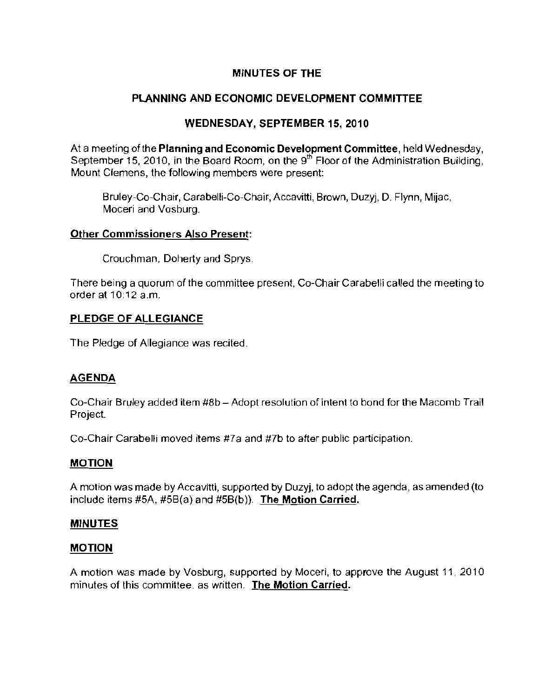## **MINUTES OF THE**

# **PLANNING AND ECONOMIC DEVELOPMENT COMMITTEE**

## **WEDNESDAY, SEPTEMBER** 15, 2010

At a meeting of the **Planning and Economic Development Committee**, held Wednesday, September 15, 2010, in the Board Room, on the  $9<sup>th</sup>$  Floor of the Administration Building, **Mount Clemens, the following members were present:** 

Bruley-Co-Chair, Carabelli-Co-Chair, Accavitli, Brown, Duzyj, D. Flynn, Mijac, **Moceri and Vosburg.** 

#### **Other Commissioners Also Present:**

Crouchman, Doherty and Sprys.

**There being a quorum of the committee present, Co-Chair CarabeHi called the meeting to**  order at 10:12 a.m.

## **PLEDGE OF ALLEGIANCE**

The Pledge of Allegiance was recited.

## **AGENDA**

Co-Chair Bruley added item #8b - Adopt resolution of intent to bond for the Macomb Trail **Project.** 

**Co-Chair CarabeHi moved items #7a and #7b to after public participation.** 

## **MOTION**

A motion was made by Accavitli, supported by Duzyj, to adopt the agenda, as amended (to include items #5A, #5B(a) and #5B(b)). The Motion Carried.

#### **MINUTES**

## **MOTION**

A motion was made by Vosburg, supported by Moceri. to approve the August 11, 2010 **minutes of this committee. as written. The Motion Carried.**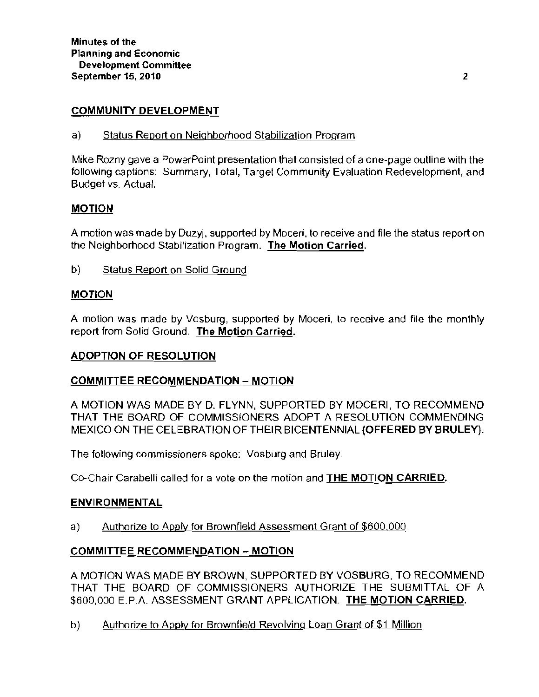## COMMUNITY DEVELOPMENT

a) Status Report on Neighborhood Stabilization Program

Mike Rozny gave a PowerPoint presentation that consisted of a one-page outline with the following captions: Summary, Total, Target Community Evaluation Redevelopment, and Budget vs. Actual.

### **MOTION**

A motion was made by Duzyj, supported by Moceri, to receive and file the status report on the Neighborhood Stabilization Program. The Motion Carried.

b) Status Report on Solid Ground

## MOTION

A motion was made by Vosburg, supported by Moceri, 10 receive and file the monthly report from Solid Ground. **The Motion Carried.** 

#### ADOPTION OF RESOLUTION

#### COMMITTEE RECOMMENDATION - MOTION

A MOTION WAS MADE BY D. FLYNN, SUPPORTED BY MOCERI, TO RECOMMEND THAT THE BOARD OF COMMISSIONERS ADOPT A RESOLUTION COMMENDING MEXICO ON THE CELEBRATION OF THEIR BICENTENNIAL (OFFERED BY BRULEY).

The following commissioners spoke: Vosburg and Bruley.

Co-Chair Carabelli called for a vote on the motion and THE MOTION CARRIED.

#### ENVIRONMENTAL

a) Authorize to Apply for Brownfield Assessment Grant of \$600,000

## COMMITTEE RECOMMENDATION - MOTION

A MOTION WAS MADE BY BROWN, SUPPORTED BY VOSBURG, TO RECOMMEND THAT THE BOARD OF COMMISSIONERS AUTHORIZE THE SUBMITTAL OF A \$600,000 E.P.A. ASSESSMENT GRANT APPLICATION. THE MOTION CARRIED.

b) Authorize to Apply for Brownfield Revolving Loan Grant of \$1 Million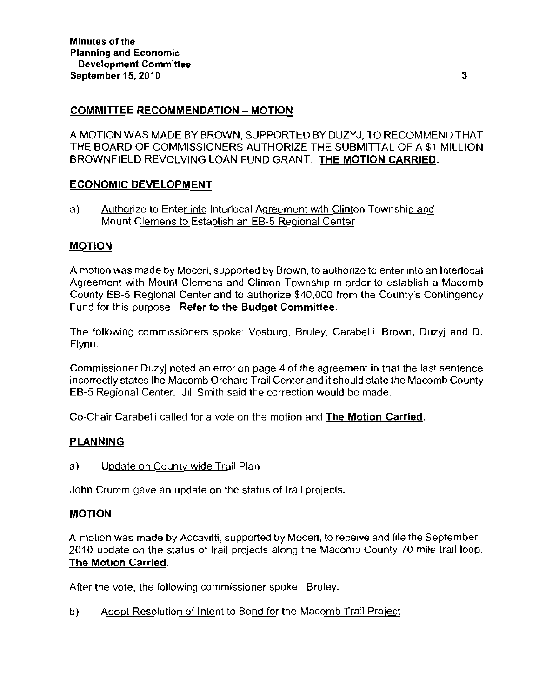### COMMITTEE RECOMMENDATION - MOTION

A MOTION WAS MADE BY BROWN, SUPPORTED BY DUZYJ, TO RECOMMEND THAT THE BOARD OF COMMISSIONERS AUTHORIZE THE SUBMITTAL OF A \$1 MILLION BROWNFIELD REVOLVING LOAN FUND GRANT. THE MOTION CARRIED.

### ECONOMIC DEVELOPMENT

a) Authorize to Enter into Interlocal Agreement with Clinton Township and Mount Clemens to Establish an EB-5 Regional Center

#### MOTION

A motion was made by Moceri, supported by Brown, to authorize to enter into an Interlocal Agreement with Mount Clemens and Clinton Township in order to establish a Macomb County EB-5 Regional Center and to authorize \$40,000 from the County's Contingency Fund for this purpose. Refer to the Budget Committee.

The following commissioners spoke: Vosburg, Bruley, Carabelli, Brown, Duzyj and D. Flynn.

Commissioner Duzyj noted an error on page 4 of the agreement in that the last sentence incorrectly states the Macomb Orchard Trail Center and it should state the Macomb County EB-5 Regional Center. Jill Smith said the correction would be made.

Co-Chair Carabelli called for a vote on the motion and The Motion Carried.

#### PLANNING

a) Update on County-wide Trail Plan

John Crumm gave an update on the status of trail projects.

#### MOTION

A motion was made by Accavitti, supported by Moceri, to receive and file the September 2010 update on the status of trail projects along the Macomb County 70 mile trail loop. The Motion Carried.

After the vote, the following commissioner spoke: Bruley.

b) Adopt Resolution of Intent to Bond for the Macomb Trail Project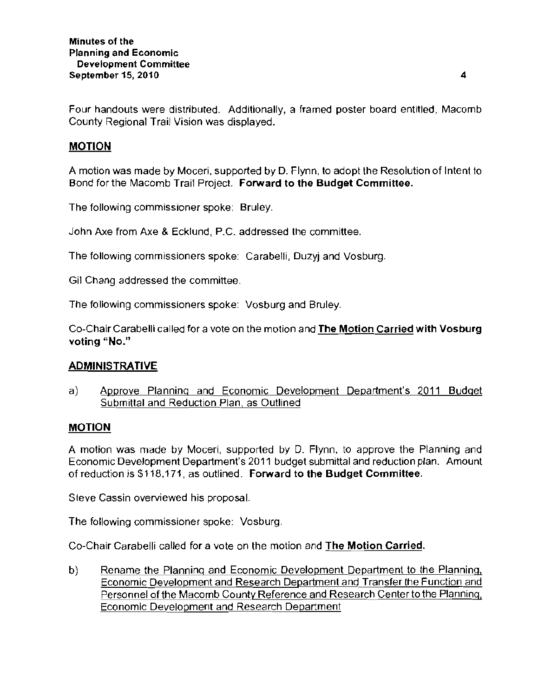Four handouts were distributed. Additionally, a framed poster board entitled, Macomb County Regional Trail Vision was displayed.

## MOTION

A motion was made by Moceri, supported by D. Flynn, to adopt the Resolution of Intent to Bond for the Macomb Trail Project. Forward to the Budget Committee.

The following commissioner spoke: Bruley.

John Axe from Axe & Ecklund, P.C. addressed Ihe committee.

The following commissioners spoke: Carabelli, Duzyj and Vosburg.

Gil Chang addressed the committee

The following commissioners spoke: Vosburg and Bruley.

Co-Chair Carabelli called for a vote on the motion and **The Motion Carried with Vosburg voting** "No."

#### ADMINISTRATIVE

a) Approve Planninq and Economic Development Department's 2011 Budget Submittal and Reduction Plan, as Outlined

#### MOTION

A motion was made by Moceri, supported by D. Flynn, to approve the Planning and Economic Development Department's 2011 budget submittal and reduction plan. Amount of reduction is \$118,171, as outlined. **Forward to the Budget Committee.** 

Sieve Cassin overviewed his proposal.

The following commissioner spoke: Vosburg.

Co-Chair Carabelli called for a vote on the motion and **The Motion Carried.** 

b) Rename the Planning and Economic Development Department to the Planning, Economic Development and Research Department and Transfer the Function and Personnel of the Macomb County Reference and Research Center to the Planning, Economic Development and Research Department